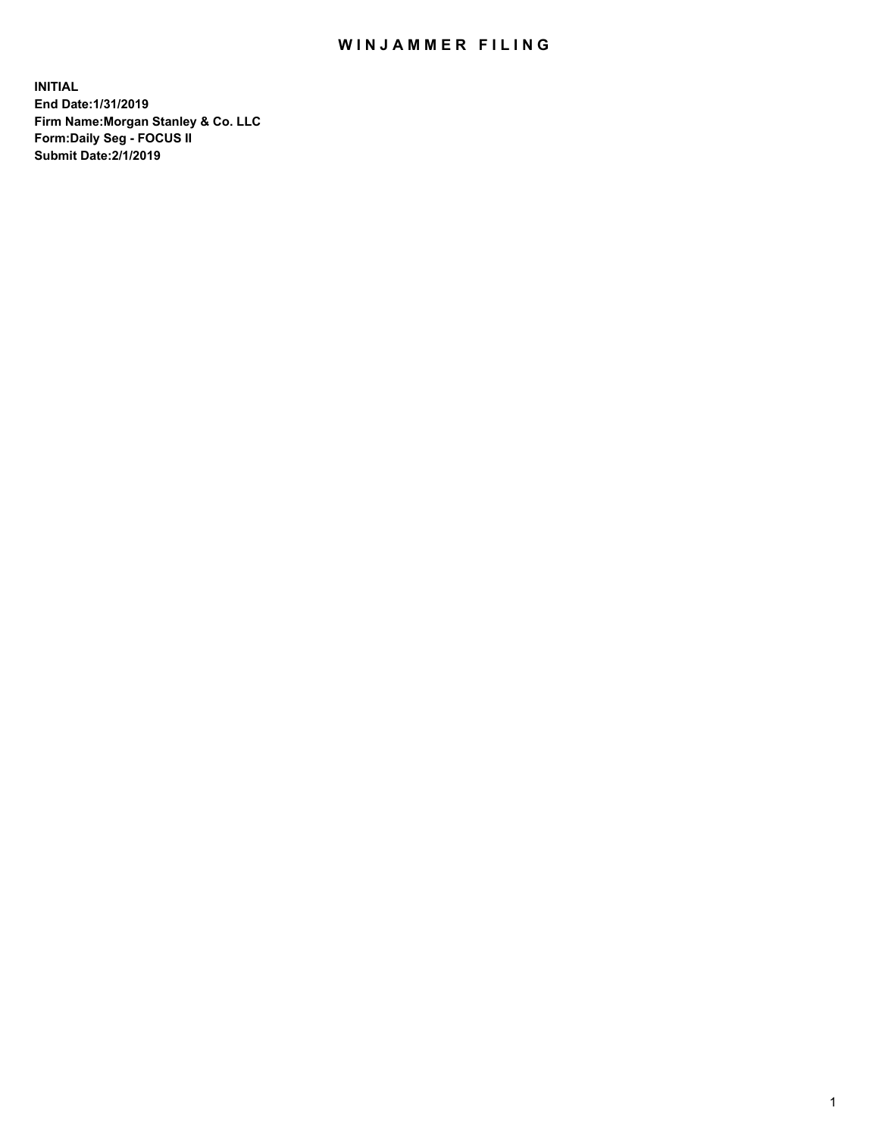## WIN JAMMER FILING

**INITIAL End Date:1/31/2019 Firm Name:Morgan Stanley & Co. LLC Form:Daily Seg - FOCUS II Submit Date:2/1/2019**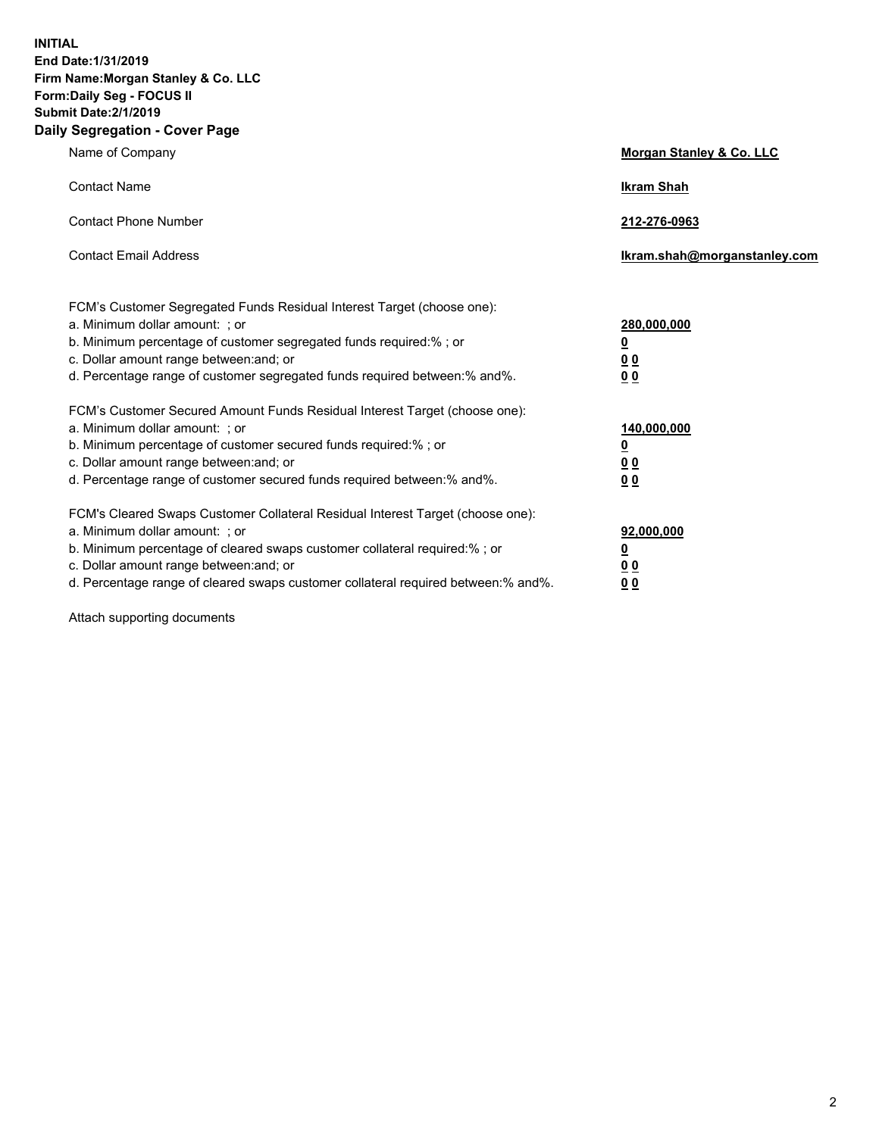**INITIAL End Date:1/31/2019 Firm Name:Morgan Stanley & Co. LLC Form:Daily Seg - FOCUS II Submit Date:2/1/2019 Daily Segregation - Cover Page**

| Name of Company                                                                                                                                                                                                                                                                                                                | Morgan Stanley & Co. LLC                                    |
|--------------------------------------------------------------------------------------------------------------------------------------------------------------------------------------------------------------------------------------------------------------------------------------------------------------------------------|-------------------------------------------------------------|
| <b>Contact Name</b>                                                                                                                                                                                                                                                                                                            | <b>Ikram Shah</b>                                           |
| <b>Contact Phone Number</b>                                                                                                                                                                                                                                                                                                    | 212-276-0963                                                |
| <b>Contact Email Address</b>                                                                                                                                                                                                                                                                                                   | Ikram.shah@morganstanley.com                                |
| FCM's Customer Segregated Funds Residual Interest Target (choose one):<br>a. Minimum dollar amount: ; or<br>b. Minimum percentage of customer segregated funds required:% ; or<br>c. Dollar amount range between: and; or<br>d. Percentage range of customer segregated funds required between:% and%.                         | 280,000,000<br><u>0</u><br>0 <sub>0</sub><br>00             |
| FCM's Customer Secured Amount Funds Residual Interest Target (choose one):<br>a. Minimum dollar amount: ; or<br>b. Minimum percentage of customer secured funds required:%; or<br>c. Dollar amount range between: and; or<br>d. Percentage range of customer secured funds required between:% and%.                            | 140,000,000<br><u>0</u><br>0 <sub>0</sub><br>0 <sub>0</sub> |
| FCM's Cleared Swaps Customer Collateral Residual Interest Target (choose one):<br>a. Minimum dollar amount: ; or<br>b. Minimum percentage of cleared swaps customer collateral required:% ; or<br>c. Dollar amount range between: and; or<br>d. Percentage range of cleared swaps customer collateral required between:% and%. | 92,000,000<br><u>0</u><br><u>00</u><br>00                   |

Attach supporting documents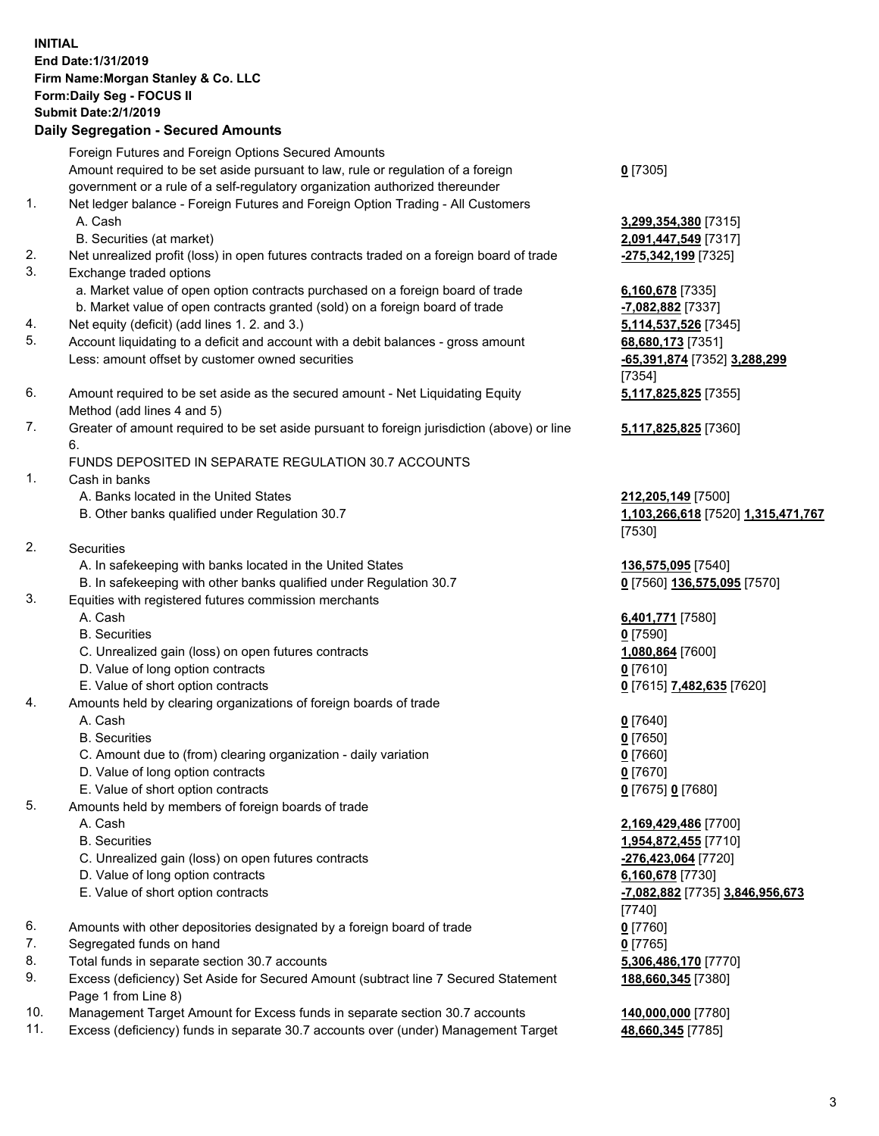## **INITIAL End Date:1/31/2019 Firm Name:Morgan Stanley & Co. LLC Form:Daily Seg - FOCUS II Submit Date:2/1/2019 Daily Segregation - Secured Amounts** Foreign Futures and Foreign Options Secured Amounts Amount required to be set aside pursuant to law, rule or regulation of a foreign government or a rule of a self-regulatory organization authorized thereunder 1. Net ledger balance - Foreign Futures and Foreign Option Trading - All Customers A. Cash **3,299,354,380** [7315] B. Securities (at market) **2,091,447,549** [7317] 2. Net unrealized profit (loss) in open futures contracts traded on a foreign board of trade **-275,342,199** [7325] 3. Exchange traded options a. Market value of open option contracts purchased on a foreign board of trade **6,160,678** [7335] b. Market value of open contracts granted (sold) on a foreign board of trade **-7,082,882** [7337] 4. Net equity (deficit) (add lines 1. 2. and 3.) **5,114,537,526** [7345] 5. Account liquidating to a deficit and account with a debit balances - gross amount **68,680,173** [7351] Less: amount offset by customer owned securities **-65,391,874** [7352] **3,288,299** 6. Amount required to be set aside as the secured amount - Net Liquidating Equity Method (add lines 4 and 5) 7. Greater of amount required to be set aside pursuant to foreign jurisdiction (above) or line 6. FUNDS DEPOSITED IN SEPARATE REGULATION 30.7 ACCOUNTS 1. Cash in banks A. Banks located in the United States **212,205,149** [7500] B. Other banks qualified under Regulation 30.7 **1,103,266,618** [7520] **1,315,471,767** 2. Securities A. In safekeeping with banks located in the United States **136,575,095** [7540] B. In safekeeping with other banks qualified under Regulation 30.7 **0** [7560] **136,575,095** [7570] 3. Equities with registered futures commission merchants A. Cash **6,401,771** [7580] B. Securities **0** [7590] C. Unrealized gain (loss) on open futures contracts **1,080,864** [7600] D. Value of long option contracts **0** [7610] E. Value of short option contracts **0** [7615] **7,482,635** [7620] 4. Amounts held by clearing organizations of foreign boards of trade A. Cash **0** [7640] B. Securities **0** [7650] C. Amount due to (from) clearing organization - daily variation **0** [7660] D. Value of long option contracts **0** [7670] E. Value of short option contracts **0** [7675] **0** [7680] 5. Amounts held by members of foreign boards of trade A. Cash **2,169,429,486** [7700] B. Securities **1,954,872,455** [7710] C. Unrealized gain (loss) on open futures contracts **-276,423,064** [7720] D. Value of long option contracts **6,160,678** [7730] E. Value of short option contracts **-7,082,882** [7735] **3,846,956,673**

- 6. Amounts with other depositories designated by a foreign board of trade **0** [7760]
- 7. Segregated funds on hand **0** [7765]
- 8. Total funds in separate section 30.7 accounts **5,306,486,170** [7770]
- 9. Excess (deficiency) Set Aside for Secured Amount (subtract line 7 Secured Statement Page 1 from Line 8)
- 10. Management Target Amount for Excess funds in separate section 30.7 accounts **140,000,000** [7780]
- 11. Excess (deficiency) funds in separate 30.7 accounts over (under) Management Target **48,660,345** [7785]

**0** [7305]

[7354] **5,117,825,825** [7355]

**5,117,825,825** [7360]

[7530]

[7740] **188,660,345** [7380]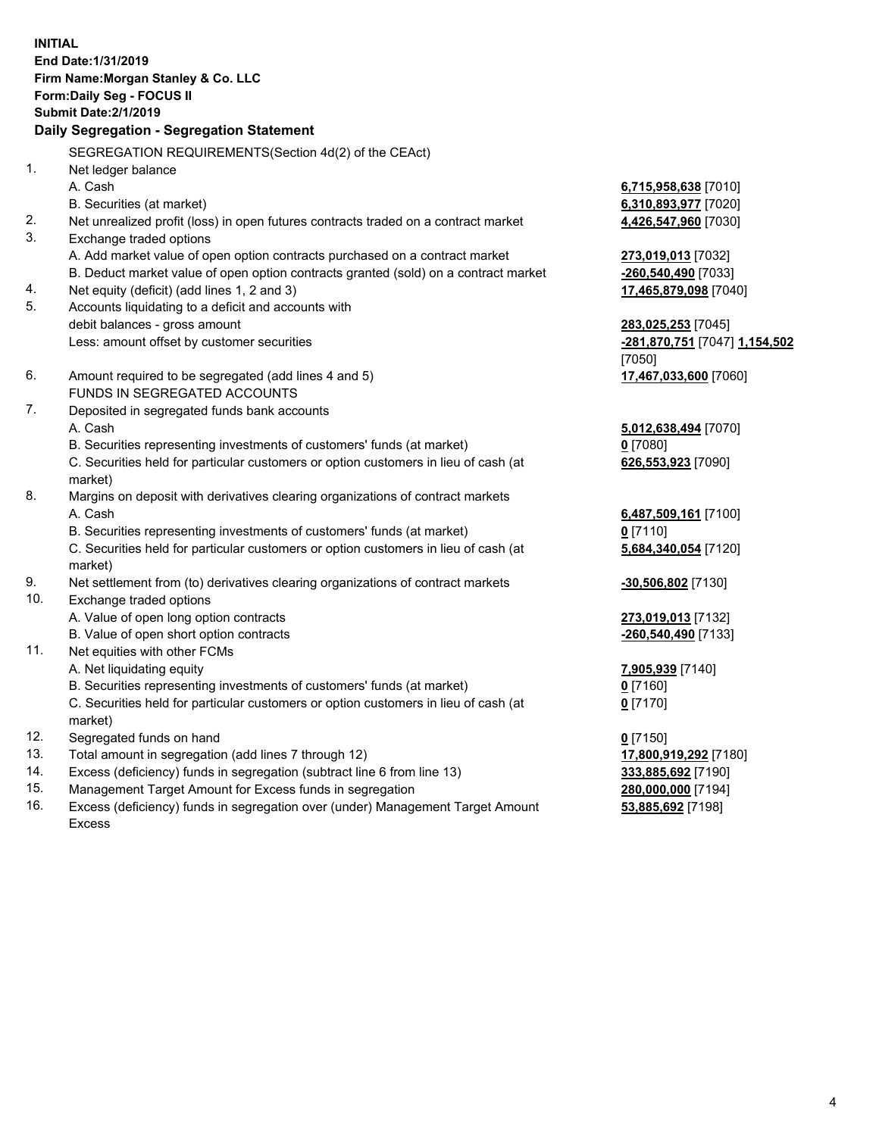**INITIAL End Date:1/31/2019 Firm Name:Morgan Stanley & Co. LLC Form:Daily Seg - FOCUS II Submit Date:2/1/2019 Daily Segregation - Segregation Statement** SEGREGATION REQUIREMENTS(Section 4d(2) of the CEAct) 1. Net ledger balance A. Cash **6,715,958,638** [7010] B. Securities (at market) **6,310,893,977** [7020] 2. Net unrealized profit (loss) in open futures contracts traded on a contract market **4,426,547,960** [7030] 3. Exchange traded options A. Add market value of open option contracts purchased on a contract market **273,019,013** [7032] B. Deduct market value of open option contracts granted (sold) on a contract market **-260,540,490** [7033] 4. Net equity (deficit) (add lines 1, 2 and 3) **17,465,879,098** [7040] 5. Accounts liquidating to a deficit and accounts with debit balances - gross amount **283,025,253** [7045] Less: amount offset by customer securities **-281,870,751** [7047] **1,154,502** [7050] 6. Amount required to be segregated (add lines 4 and 5) **17,467,033,600** [7060] FUNDS IN SEGREGATED ACCOUNTS 7. Deposited in segregated funds bank accounts A. Cash **5,012,638,494** [7070] B. Securities representing investments of customers' funds (at market) **0** [7080] C. Securities held for particular customers or option customers in lieu of cash (at market) **626,553,923** [7090] 8. Margins on deposit with derivatives clearing organizations of contract markets A. Cash **6,487,509,161** [7100] B. Securities representing investments of customers' funds (at market) **0** [7110] C. Securities held for particular customers or option customers in lieu of cash (at market) **5,684,340,054** [7120] 9. Net settlement from (to) derivatives clearing organizations of contract markets **-30,506,802** [7130] 10. Exchange traded options A. Value of open long option contracts **273,019,013** [7132] B. Value of open short option contracts **-260,540,490** [7133] 11. Net equities with other FCMs A. Net liquidating equity **7,905,939** [7140] B. Securities representing investments of customers' funds (at market) **0** [7160] C. Securities held for particular customers or option customers in lieu of cash (at market) **0** [7170] 12. Segregated funds on hand **0** [7150] 13. Total amount in segregation (add lines 7 through 12) **17,800,919,292** [7180] 14. Excess (deficiency) funds in segregation (subtract line 6 from line 13) **333,885,692** [7190]

- 15. Management Target Amount for Excess funds in segregation **280,000,000** [7194]
- 16. Excess (deficiency) funds in segregation over (under) Management Target Amount Excess

**53,885,692** [7198]